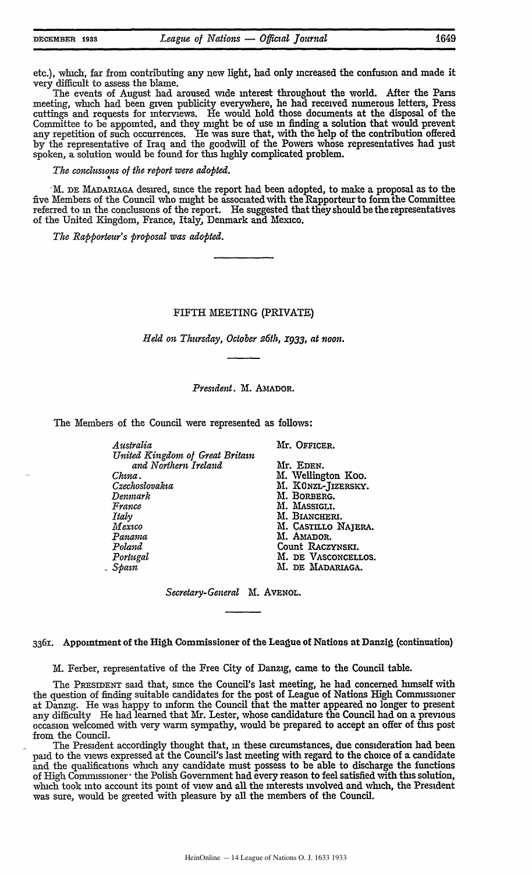| <b>DECEMBER</b> | 1933 |
|-----------------|------|
|-----------------|------|

etc.), which, far from contributing any new light, had only increased the confusion and made it very difficult to assess the blame.

The events of August had aroused wide interest throughout the world. After the Pans meeting, winch had been given publicity everywhere, he had received numerous letters, Press cuttings and requests for interviews. He would hold those documents at the disposal of the Committee to be appointed, and they might be of use **in** finding a solution that would prevent any repetition of such occurrences. He was sure that, with the help of the contribution offered by the representative of Iraq and the goodwill of the Powers whose representatives had just spoken, a solution would be found for this **highly** complicated problem.

*The conclusions of the report were adopted.*

-M. DE MADARIAGA desired, since the report had been adopted, to make a proposal as to the five Members of the Council who might be associatedwith the Rapporteur to form the Committee referred to **in** the conclusions of the report. He suggested that they should be the representatives of the United Kingdom, France, Italy, Denmark and Mexico.

*The Rap porteur's Proposal was ado pted.*

FIFTH MEETING (PRIVATE)

*Held on Thursday, October 26th, I933, at izoon.*

*President.* M. **AbiADOR.**

The Members of the Council were represented as follows:

| Australia                       | Mr. OFFICER.        |
|---------------------------------|---------------------|
| United Kingdom of Great Britain |                     |
| and Northern Ireland            | Mr. Eden.           |
| Chına .                         | M. Wellington Koo.  |
| Czechoslovakıa                  | M. KÜNZL-JIZERSKY.  |
| Denmark                         | M. BORBERG.         |
| France                          | M. MASSIGLI.        |
| Italy                           | M. BIANCHERI.       |
| Mexico                          | M. CASTILLO NAJERA. |
| Panama                          | M. AMADOR.          |
| Poland                          | Count RACZYNSKI.    |
| Portugal                        | M. DE VASCONCELLOS. |
| Sbam                            | M. DE MADARIAGA.    |

*Secretary-General* M. **AVENOL.**

3361. Appointment of the High Commissioner of the League of Nations at Danzig (continuation)

M. Ferber, representative of the Free City of Danzig, came to the Council table.

The **PRESIDENT** said that, since the Council's last meeting, he had concerned himself with the question of finding suitable candidates for the post of League of Nations High Commissioner at Danzig. He was happy to inform the Council that the matter appeared no longer to present any difficulty He had learned that Mr. Lester, whose candidature the Council had on a previous occasion welcomed with very warm sympathy, would be prepared to accept an offer of this post from the Council.

The President accordingly thought that, in these circumstances, due consideration had been paid to the views expressed at the Council's last meeting with regard to the choice of a candidate and the qualifications winch any candidate must possess to be able to discharge the functions of High Commissioner $\cdot$  the Polish Government had every reason to feel satisfied with this solution, which took into account its point of view and all the interests involved and which, the President was sure, would be greeted with pleasure by all the members of the Council.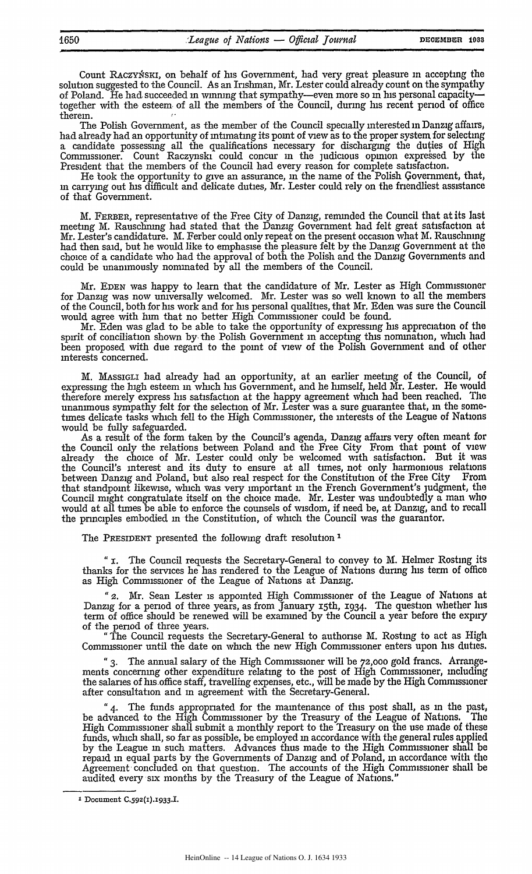Count RACZYŃSKI, on behalf of his Government, had very great pleasure in accepting the solution suggested to the Council. As an Irishman, Mr. Lester could already count on the sympathy of Poland. He had succeeded in winning that sympathy-even more so in his personal capacitytogether with the esteem of all the members of the Council, during his recent period of office therein.

The Polish Government, as the member of the Council specially interested in Danzig affairs, had already had an opportunity of intimating its point of view as to the proper system for selecting a candidate possessing all the qualifications necessary for discharging the duties of High Commissioner. Count Raczynski could concur in the judicious opinion expressed **by** the President that the members of the Council had every reason for complete satisfaction.

He took the opportunity to give an assurance, in the name of the Polish Government, that, **in** carrying out his difficult and delicate duties, Mr. Lester could rely on the friendliest assistance of that Government.

M. FERBER, representative of the Free City of Danzig, reminded the Council that at its last meeting M. Rauschning had stated that the Danzig Government had felt great satisfaction at Mr. Lester's candidature. M. Ferber could only repeat on the present occasion what M. Rauschning had then said, but he would like to emphasise the pleasure felt by the Danzig Government at the choice of a candidate who had the approval of both the Polish and the Danzig Governments and could be unanimously nominated by all the members of the Council.

Mr. **EDEN** was happy to learn that the candidature of Mr. Lester as High Commissioner for Danzig was now universally welcomed. Mr. Lester was so well known to all the members of the Council, both for his work and for his personal qualities, that Mr. Eden was sure the Council would agree with him that no better High Commissioner could be found.

Mr. Eden was glad to be able to take the opportunity of expressing his appreciation of the spirit of conciliation shown **by,** the Polish Government in accepting this nomination, which had been proposed with due regard to the point of view of the Polish Government and of other interests concerned.

M. MAssiGLI had already had an opportunity, at an earlier meeting of the Council, of expressing the high esteem **in** which his Government, and he himself, held Mr. Lester. He would therefore merely express his satisfaction at the happy agreement which had been reached. The unanimous sympathy felt for the selection of Mr. Lester was a sure guarantee that, in the sometimes delicate tasks which fell to the High Commissioner, the interests of the League of Nations would be fully safeguarded.

As a result of the form taken by the Council's agenda, Danzig affairs very often meant for the Council only the relations between Poland and the Free City From that point of view already the choice of Mr. Lester could only be welcomed with satisfaction. But it was the Council's interest and its duty to ensure at all times, not only harmonious relations<br>between Danzig and Poland, but also real respect for the Constitution of the Free City From between Danzig and Poland, but also real respect for the Constitution of the Free City that standpoint likewise, which was very important **in** the French Government's judgment, the Council might congratulate itself on the choice made. Mr. Lester was undoubtedly a man who would at all times be able to enforce the counsels of wisdom, **if** need be, at Danzig, and to recall the principles embodied in the Constitution, of which the Council was the guarantor.

The **PRESIDENT** presented the following draft resolution '

" I. The Council requests the Secretary-General to convey to M. Helmer Rosting its thanks for the services he has rendered to the League of Nations during his term of office as High Commissioner of the League of Nations at Danzig.

*"2.* Mr. Sean Lester is appointed High Commissioner of the League of Nations at Danzig for a period of three years, as from January 15th, 1934. The question whether his term of office should be renewed will be examined by the Council a year before the expiry of the period of three years.

"The Council requests the Secretary-General to authonse M. Rostmg to act as High Commissioner until the date on which the new High Commissioner enters upon his duties.

"3. The annual salary of the High Commissioner will be **72,000** gold francs. Arrangements concerning other expenditure relating to the post of High Commissioner, including the salaries of his office staff, travelling expenses, etc., will be made by the High Commissioner after consultation and **in** agreement with the Secretary-General.

*"4.* The funds appropriated for the maintenance of this post shall, as in the past, be advanced to the High Commissioner by the Treasury of the League of Nations. The High Commissioner shall submit a monthly report to the Treasury on the use made of these funds, which shall, so far as possible, be employed **in** accordance with the general rules applied by the League **in** such matters. Advances thus made to the High Commissioner shall be repaid **in** equal parts by the Governments of Danzig and of Poland, **in** accordance with the Agreement concluded on that question. The accounts of the High Commissioner shall be audited every six months by the Treasury of the League of Nations."

<sup>&#</sup>x27; Document C.592(I).1933.I.